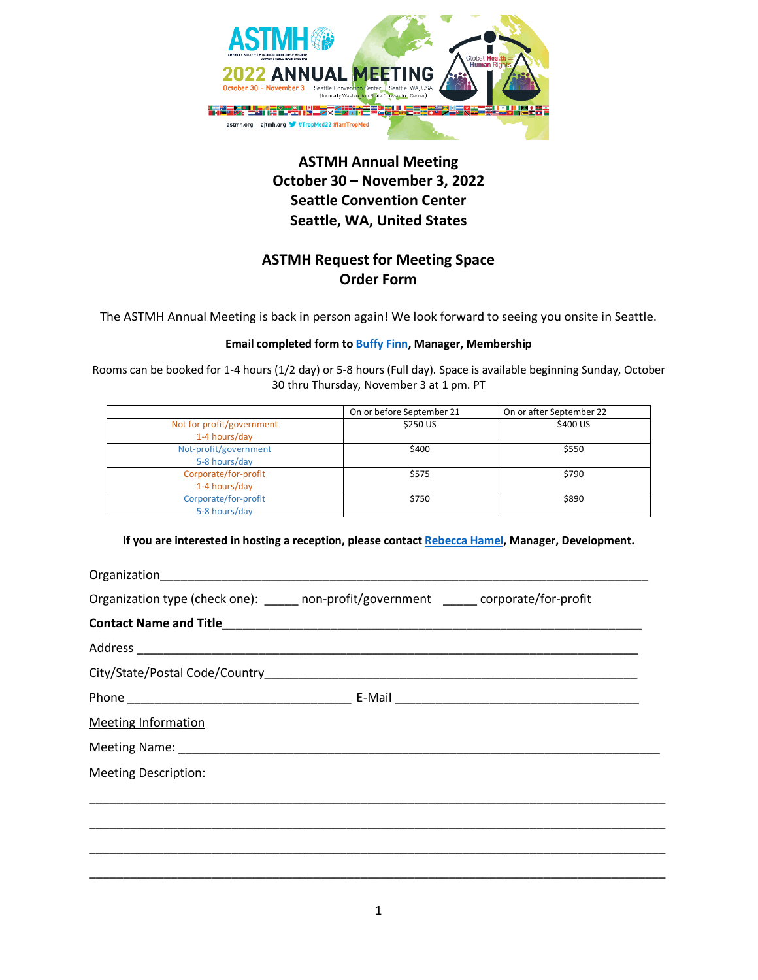

# **ASTMH Annual Meeting October 30 – November 3, 2022 Seattle Convention Center Seattle, WA, United States**

## **ASTMH Request for Meeting Space Order Form**

The ASTMH Annual Meeting is back in person again! We look forward to seeing you onsite in Seattle.

### **Email completed form t[o Buffy Finn,](mailto:bfinn@astmh.org) Manager, Membership**

Rooms can be booked for 1-4 hours (1/2 day) or 5-8 hours (Full day). Space is available beginning Sunday, October 30 thru Thursday, November 3 at 1 pm. PT

|                           | On or before September 21 | On or after September 22 |
|---------------------------|---------------------------|--------------------------|
| Not for profit/government | \$250 US                  | \$400 US                 |
| 1-4 hours/day             |                           |                          |
| Not-profit/government     | \$400                     | \$550                    |
| 5-8 hours/day             |                           |                          |
| Corporate/for-profit      | \$575                     | \$790                    |
| 1-4 hours/day             |                           |                          |
| Corporate/for-profit      | \$750                     | \$890                    |
| 5-8 hours/day             |                           |                          |

**If you are interested in hosting a reception, please contac[t Rebecca Hamel,](mailto:rhamel@astmh.org) Manager, Development.**

| Organization type (check one): _____ non-profit/government _____ corporate/for-profit |  |
|---------------------------------------------------------------------------------------|--|
|                                                                                       |  |
|                                                                                       |  |
|                                                                                       |  |
|                                                                                       |  |
| <b>Meeting Information</b>                                                            |  |
|                                                                                       |  |
| <b>Meeting Description:</b>                                                           |  |
|                                                                                       |  |
|                                                                                       |  |
|                                                                                       |  |
|                                                                                       |  |
|                                                                                       |  |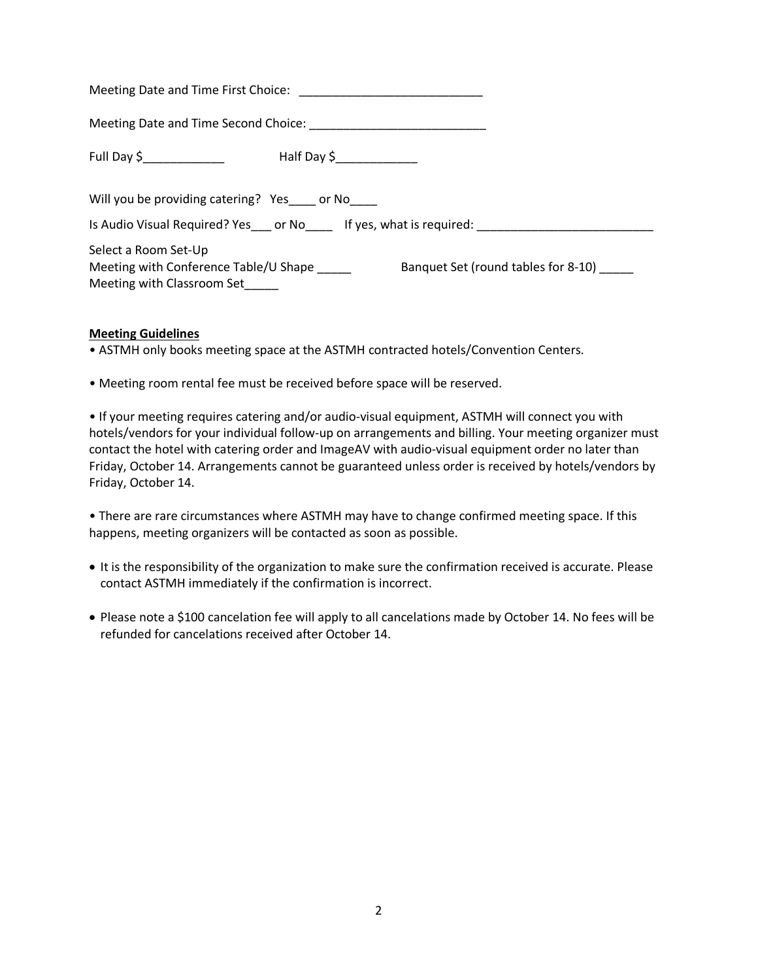| Meeting Date and Time First Choice:                                                                                                |
|------------------------------------------------------------------------------------------------------------------------------------|
|                                                                                                                                    |
| Full Day \$_______________<br>Half Day \$_______________                                                                           |
| Will you be providing catering? Yes___ or No___                                                                                    |
| Is Audio Visual Required? Yes ____ or No _______ If yes, what is required:                                                         |
| Select a Room Set-Up<br>Meeting with Conference Table/U Shape<br>Banquet Set (round tables for 8-10)<br>Meeting with Classroom Set |

#### **Meeting Guidelines**

• ASTMH only books meeting space at the ASTMH contracted hotels/Convention Centers.

• Meeting room rental fee must be received before space will be reserved.

• If your meeting requires catering and/or audio-visual equipment, ASTMH will connect you with hotels/vendors for your individual follow-up on arrangements and billing. Your meeting organizer must contact the hotel with catering order and ImageAV with audio-visual equipment order no later than Friday, October 14. Arrangements cannot be guaranteed unless order is received by hotels/vendors by Friday, October 14.

• There are rare circumstances where ASTMH may have to change confirmed meeting space. If this happens, meeting organizers will be contacted as soon as possible.

- It is the responsibility of the organization to make sure the confirmation received is accurate. Please contact ASTMH immediately if the confirmation is incorrect.
- Please note a \$100 cancelation fee will apply to all cancelations made by October 14. No fees will be refunded for cancelations received after October 14.